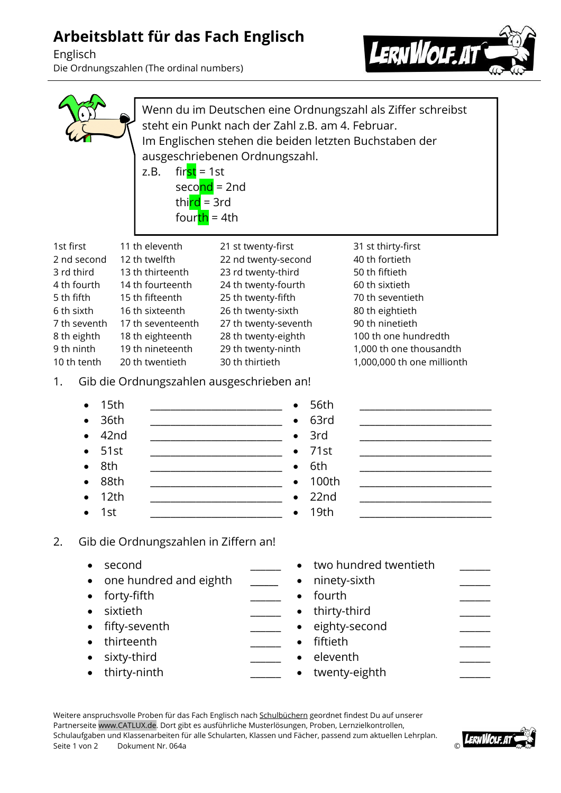## **Arbeitsblatt für das Fach Englisch**

Englisch Die Ordnungszahlen (The ordinal numbers)



|                                                                                                                                                                                                                                                                                                                                                | $first = 1st$<br>z.B.<br>seco <mark>nd</mark> = 2nd<br>thind = 3rd<br>fourth = 4th                                                                                                            | steht ein Punkt nach der Zahl z.B. am 4. Februar.<br>Im Englischen stehen die beiden letzten Buchstaben der<br>ausgeschriebenen Ordnungszahl.                                                                                                                           | Wenn du im Deutschen eine Ordnungszahl als Ziffer schreibst                                                                                                                                                         |
|------------------------------------------------------------------------------------------------------------------------------------------------------------------------------------------------------------------------------------------------------------------------------------------------------------------------------------------------|-----------------------------------------------------------------------------------------------------------------------------------------------------------------------------------------------|-------------------------------------------------------------------------------------------------------------------------------------------------------------------------------------------------------------------------------------------------------------------------|---------------------------------------------------------------------------------------------------------------------------------------------------------------------------------------------------------------------|
| 1st first<br>2 nd second<br>3 rd third<br>4 th fourth<br>5 th fifth<br>6 th sixth<br>7 th seventh<br>8 th eighth<br>9 th ninth<br>10 th tenth<br>1.                                                                                                                                                                                            | 11 th eleventh<br>12 th twelfth<br>13 th thirteenth<br>14 th fourteenth<br>15 th fifteenth<br>16 th sixteenth<br>17 th seventeenth<br>18 th eighteenth<br>19 th nineteenth<br>20 th twentieth | 21 st twenty-first<br>22 nd twenty-second<br>23 rd twenty-third<br>24 th twenty-fourth<br>25 th twenty-fifth<br>26 th twenty-sixth<br>27 th twenty-seventh<br>28 th twenty-eighth<br>29 th twenty-ninth<br>30 th thirtieth<br>Gib die Ordnungszahlen ausgeschrieben an! | 31 st thirty-first<br>40 th fortieth<br>50 th fiftieth<br>60 th sixtieth<br>70 th seventieth<br>80 th eightieth<br>90 th ninetieth<br>100 th one hundredth<br>1,000 th one thousandth<br>1,000,000 th one millionth |
| 15th<br>36th<br>42nd<br>51st<br>8th<br>88th<br>12th<br>1st<br>$\bullet$                                                                                                                                                                                                                                                                        |                                                                                                                                                                                               | 56th<br>63rd<br>3rd<br>71st<br>6th<br>100th<br>22nd<br>19th                                                                                                                                                                                                             |                                                                                                                                                                                                                     |
| Gib die Ordnungszahlen in Ziffern an!<br>2.<br>two hundred twentieth<br>second<br>$\bullet$<br>one hundred and eighth<br>ninety-sixth<br>٠<br>٠<br>fourth<br>forty-fifth<br>$\bullet$<br>sixtieth<br>thirty-third<br>fifty-seventh<br>eighty-second<br>٠<br>thirteenth<br>fiftieth<br>sixty-third<br>eleventh<br>thirty-ninth<br>twenty-eighth |                                                                                                                                                                                               |                                                                                                                                                                                                                                                                         |                                                                                                                                                                                                                     |